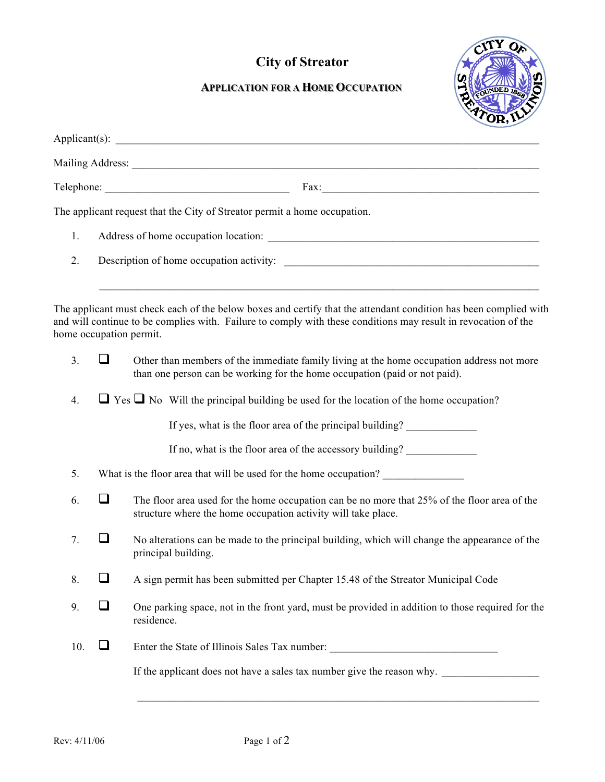## **City of Streator**



## **APPLICATION FOR A HOME OCCUPATION**

|     |                                                                                                   | $\text{Fax:}\n \overbrace{\phantom{aaaaa}}$                                                                                                                                                                                                                   |  |  |
|-----|---------------------------------------------------------------------------------------------------|---------------------------------------------------------------------------------------------------------------------------------------------------------------------------------------------------------------------------------------------------------------|--|--|
|     |                                                                                                   | The applicant request that the City of Streator permit a home occupation.                                                                                                                                                                                     |  |  |
| 1.  |                                                                                                   |                                                                                                                                                                                                                                                               |  |  |
| 2.  |                                                                                                   |                                                                                                                                                                                                                                                               |  |  |
|     |                                                                                                   | The applicant must check each of the below boxes and certify that the attendant condition has been complied with<br>and will continue to be complies with. Failure to comply with these conditions may result in revocation of the<br>home occupation permit. |  |  |
| 3.  | ┚                                                                                                 | Other than members of the immediate family living at the home occupation address not more<br>than one person can be working for the home occupation (paid or not paid).                                                                                       |  |  |
| 4.  | $\Box$ Yes $\Box$ No Will the principal building be used for the location of the home occupation? |                                                                                                                                                                                                                                                               |  |  |
|     |                                                                                                   | If yes, what is the floor area of the principal building?                                                                                                                                                                                                     |  |  |
|     |                                                                                                   | If no, what is the floor area of the accessory building?                                                                                                                                                                                                      |  |  |
| 5.  | What is the floor area that will be used for the home occupation?                                 |                                                                                                                                                                                                                                                               |  |  |
| 6.  | $\Box$                                                                                            | The floor area used for the home occupation can be no more that 25% of the floor area of the<br>structure where the home occupation activity will take place.                                                                                                 |  |  |
| 7.  | $\mathcal{L}$                                                                                     | No alterations can be made to the principal building, which will change the appearance of the<br>principal building.                                                                                                                                          |  |  |
| 8.  | $\mathcal{L}_{\mathcal{A}}$                                                                       | A sign permit has been submitted per Chapter 15.48 of the Streator Municipal Code                                                                                                                                                                             |  |  |
| 9.  | $\Box$                                                                                            | One parking space, not in the front yard, must be provided in addition to those required for the<br>residence.                                                                                                                                                |  |  |
| 10. | $\sqcup$                                                                                          | Enter the State of Illinois Sales Tax number: ___________________________________                                                                                                                                                                             |  |  |
|     |                                                                                                   | If the applicant does not have a sales tax number give the reason why.                                                                                                                                                                                        |  |  |
|     |                                                                                                   |                                                                                                                                                                                                                                                               |  |  |